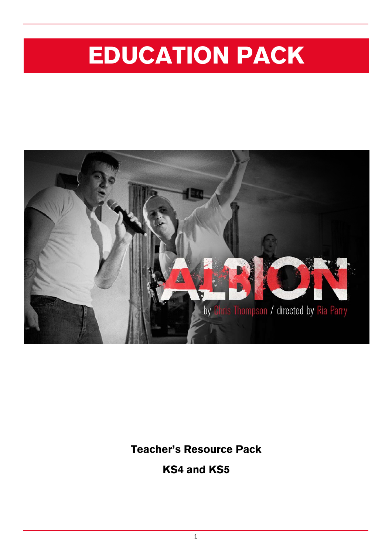# EDUCATION PACK



Teacher's Resource Pack

KS4 and KS5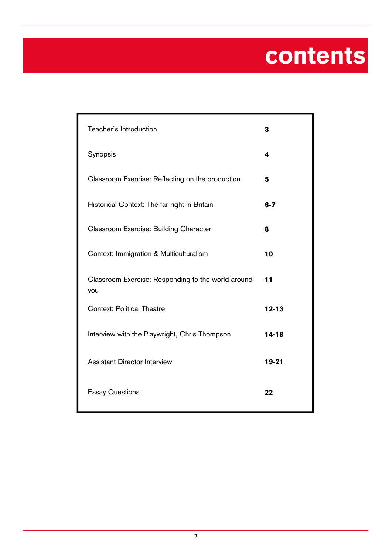# contents

| Teacher's Introduction                                    | 3         |
|-----------------------------------------------------------|-----------|
| Synopsis                                                  | 4         |
| Classroom Exercise: Reflecting on the production          | 5         |
| Historical Context: The far-right in Britain              | $6 - 7$   |
| Classroom Exercise: Building Character                    | 8         |
| Context: Immigration & Multiculturalism                   | 10        |
| Classroom Exercise: Responding to the world around<br>you | 11        |
| <b>Context: Political Theatre</b>                         | $12 - 13$ |
| Interview with the Playwright, Chris Thompson             | $14 - 18$ |
| <b>Assistant Director Interview</b>                       | $19 - 21$ |
| <b>Essay Questions</b>                                    | 22        |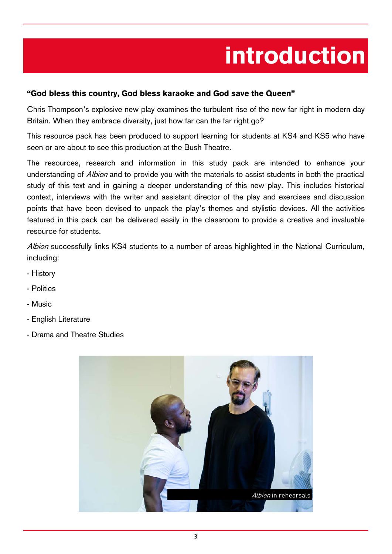# introduction

#### "God bless this country, God bless karaoke and God save the Queen"

Chris Thompson's explosive new play examines the turbulent rise of the new far right in modern day Britain. When they embrace diversity, just how far can the far right go?

This resource pack has been produced to support learning for students at KS4 and KS5 who have seen or are about to see this production at the Bush Theatre.

The resources, research and information in this study pack are intended to enhance your understanding of *Albion* and to provide you with the materials to assist students in both the practical study of this text and in gaining a deeper understanding of this new play. This includes historical context, interviews with the writer and assistant director of the play and exercises and discussion points that have been devised to unpack the play's themes and stylistic devices. All the activities featured in this pack can be delivered easily in the classroom to provide a creative and invaluable resource for students.

Albion successfully links KS4 students to a number of areas highlighted in the National Curriculum, including:

- History
- Politics
- Music
- English Literature
- Drama and Theatre Studies

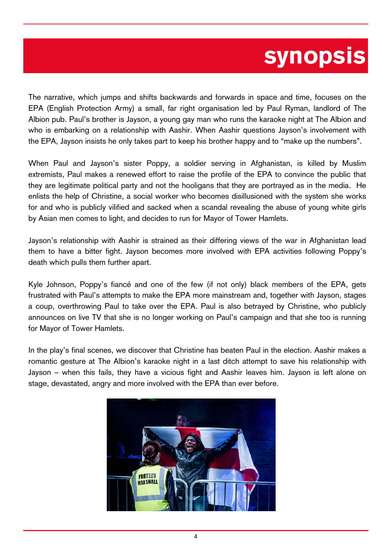## synopsis

The narrative, which jumps and shifts backwards and forwards in space and time, focuses on the EPA (English Protection Army) a small, far right organisation led by Paul Ryman, landlord of The Albion pub. Paul's brother is Jayson, a young gay man who runs the karaoke night at The Albion and who is embarking on a relationship with Aashir. When Aashir questions Jayson's involvement with the EPA, Jayson insists he only takes part to keep his brother happy and to "make up the numbers".

When Paul and Jayson's sister Poppy, a soldier serving in Afghanistan, is killed by Muslim extremists, Paul makes a renewed effort to raise the profile of the EPA to convince the public that they are legitimate political party and not the hooligans that they are portrayed as in the media. He enlists the help of Christine, a social worker who becomes disillusioned with the system she works for and who is publicly vilified and sacked when a scandal revealing the abuse of young white girls by Asian men comes to light, and decides to run for Mayor of Tower Hamlets.

Jayson's relationship with Aashir is strained as their differing views of the war in Afghanistan lead them to have a bitter fight. Jayson becomes more involved with EPA activities following Poppy's death which pulls them further apart.

Kyle Johnson, Poppy's fiancé and one of the few (if not only) black members of the EPA, gets frustrated with Paul's attempts to make the EPA more mainstream and, together with Jayson, stages a coup, overthrowing Paul to take over the EPA. Paul is also betrayed by Christine, who publicly announces on live TV that she is no longer working on Paul's campaign and that she too is running for Mayor of Tower Hamlets.

In the play's final scenes, we discover that Christine has beaten Paul in the election. Aashir makes a romantic gesture at The Albion's karaoke night in a last ditch attempt to save his relationship with Jayson – when this fails, they have a vicious fight and Aashir leaves him. Jayson is left alone on stage, devastated, angry and more involved with the EPA than ever before.

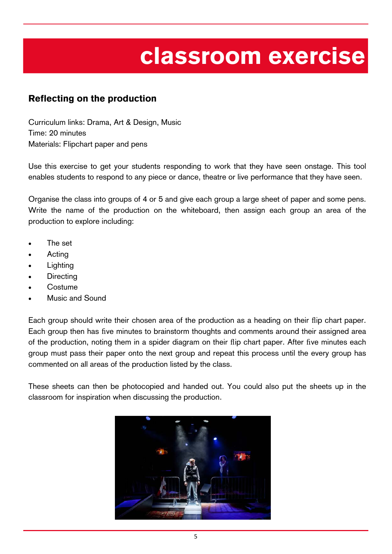## classroom exercise

### Reflecting on the production

Curriculum links: Drama, Art & Design, Music Time: 20 minutes Materials: Flipchart paper and pens

Use this exercise to get your students responding to work that they have seen onstage. This tool enables students to respond to any piece or dance, theatre or live performance that they have seen.

Organise the class into groups of 4 or 5 and give each group a large sheet of paper and some pens. Write the name of the production on the whiteboard, then assign each group an area of the production to explore including:

- The set
- Acting
- Lighting
- **Directing**
- **Costume**
- Music and Sound

Each group should write their chosen area of the production as a heading on their flip chart paper. Each group then has five minutes to brainstorm thoughts and comments around their assigned area of the production, noting them in a spider diagram on their flip chart paper. After five minutes each group must pass their paper onto the next group and repeat this process until the every group has commented on all areas of the production listed by the class.

These sheets can then be photocopied and handed out. You could also put the sheets up in the classroom for inspiration when discussing the production.

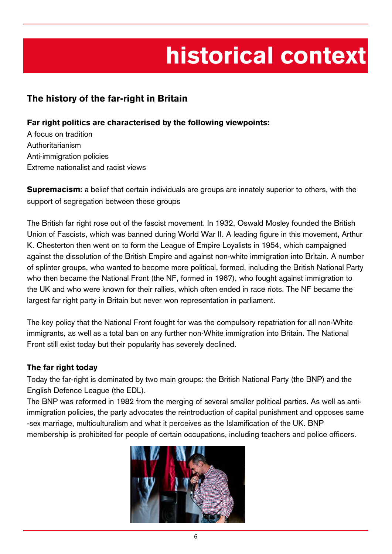# historical context

### The history of the far-right in Britain

#### Far right politics are characterised by the following viewpoints:

A focus on tradition Authoritarianism Anti-immigration policies Extreme nationalist and racist views

**Supremacism:** a belief that certain individuals are groups are innately superior to others, with the support of segregation between these groups

The British far right rose out of the fascist movement. In 1932, Oswald Mosley founded the British Union of Fascists, which was banned during World War II. A leading figure in this movement, Arthur K. Chesterton then went on to form the League of Empire Loyalists in 1954, which campaigned against the dissolution of the British Empire and against non-white immigration into Britain. A number of splinter groups, who wanted to become more political, formed, including the British National Party who then became the National Front (the NF, formed in 1967), who fought against immigration to the UK and who were known for their rallies, which often ended in race riots. The NF became the largest far right party in Britain but never won representation in parliament.

The key policy that the National Front fought for was the compulsory repatriation for all non-White immigrants, as well as a total ban on any further non-White immigration into Britain. The National Front still exist today but their popularity has severely declined.

#### The far right today

Today the far-right is dominated by two main groups: the British National Party (the BNP) and the English Defence League (the EDL).

The BNP was reformed in 1982 from the merging of several smaller political parties. As well as antiimmigration policies, the party advocates the reintroduction of capital punishment and opposes same -sex marriage, multiculturalism and what it perceives as the Islamification of the UK. BNP membership is prohibited for people of certain occupations, including teachers and police officers.

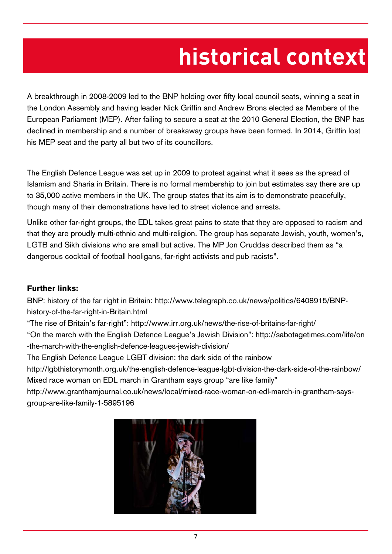# **historical context**

A breakthrough in 2008-2009 led to the BNP holding over fifty local council seats, winning a seat in the London Assembly and having leader Nick Griffin and Andrew Brons elected as Members of the European Parliament (MEP). After failing to secure a seat at the 2010 General Election, the BNP has declined in membership and a number of breakaway groups have been formed. In 2014, Griffin lost his MEP seat and the party all but two of its councillors.

The English Defence League was set up in 2009 to protest against what it sees as the spread of Islamism and Sharia in Britain. There is no formal membership to join but estimates say there are up to 35,000 active members in the UK. The group states that its aim is to demonstrate peacefully, though many of their demonstrations have led to street violence and arrests.

Unlike other far-right groups, the EDL takes great pains to state that they are opposed to racism and that they are proudly multi-ethnic and multi-religion. The group has separate Jewish, youth, women's, LGTB and Sikh divisions who are small but active. The MP Jon Cruddas described them as "a dangerous cocktail of football hooligans, far-right activists and pub racists".

#### Further links:

BNP: history of the far right in Britain: http://www.telegraph.co.uk/news/politics/6408915/BNPhistory-of-the-far-right-in-Britain.html

"The rise of Britain's far-right": http://www.irr.org.uk/news/the-rise-of-britains-far-right/

"On the march with the English Defence League's Jewish Division": http://sabotagetimes.com/life/on -the-march-with-the-english-defence-leagues-jewish-division/

The English Defence League LGBT division: the dark side of the rainbow

http://lgbthistorymonth.org.uk/the-english-defence-league-lgbt-division-the-dark-side-of-the-rainbow/ Mixed race woman on EDL march in Grantham says group "are like family"

http://www.granthamjournal.co.uk/news/local/mixed-race-woman-on-edl-march-in-grantham-saysgroup-are-like-family-1-5895196

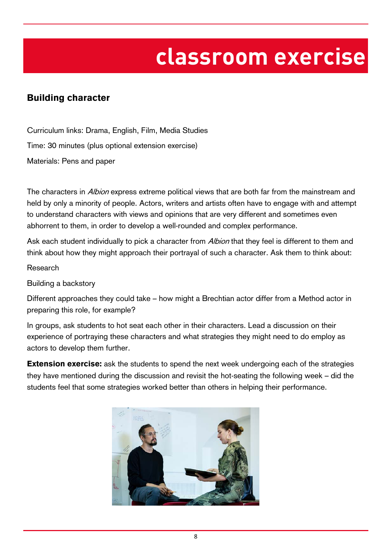## **classroom exercise**

### Building character

Curriculum links: Drama, English, Film, Media Studies Time: 30 minutes (plus optional extension exercise) Materials: Pens and paper

The characters in *Albion* express extreme political views that are both far from the mainstream and held by only a minority of people. Actors, writers and artists often have to engage with and attempt to understand characters with views and opinions that are very different and sometimes even abhorrent to them, in order to develop a well-rounded and complex performance.

Ask each student individually to pick a character from *Albion* that they feel is different to them and think about how they might approach their portrayal of such a character. Ask them to think about:

Research

Building a backstory

Different approaches they could take – how might a Brechtian actor differ from a Method actor in preparing this role, for example?

In groups, ask students to hot seat each other in their characters. Lead a discussion on their experience of portraying these characters and what strategies they might need to do employ as actors to develop them further.

**Extension exercise:** ask the students to spend the next week undergoing each of the strategies they have mentioned during the discussion and revisit the hot-seating the following week – did the students feel that some strategies worked better than others in helping their performance.

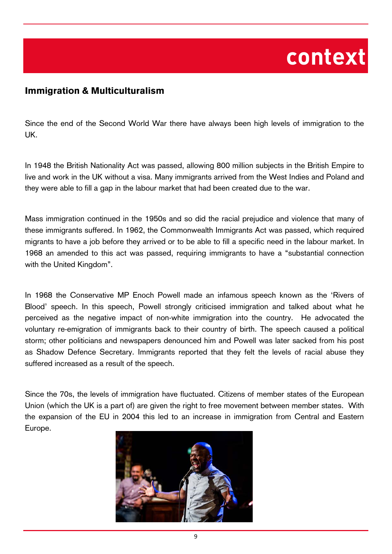## **context**

### Immigration & Multiculturalism

Since the end of the Second World War there have always been high levels of immigration to the UK.

In 1948 the British Nationality Act was passed, allowing 800 million subjects in the British Empire to live and work in the UK without a visa. Many immigrants arrived from the West Indies and Poland and they were able to fill a gap in the labour market that had been created due to the war.

Mass immigration continued in the 1950s and so did the racial prejudice and violence that many of these immigrants suffered. In 1962, the Commonwealth Immigrants Act was passed, which required migrants to have a job before they arrived or to be able to fill a specific need in the labour market. In 1968 an amended to this act was passed, requiring immigrants to have a "substantial connection with the United Kingdom".

In 1968 the Conservative MP Enoch Powell made an infamous speech known as the 'Rivers of Blood' speech. In this speech, Powell strongly criticised immigration and talked about what he perceived as the negative impact of non-white immigration into the country. He advocated the voluntary re-emigration of immigrants back to their country of birth. The speech caused a political storm; other politicians and newspapers denounced him and Powell was later sacked from his post as Shadow Defence Secretary. Immigrants reported that they felt the levels of racial abuse they suffered increased as a result of the speech.

Since the 70s, the levels of immigration have fluctuated. Citizens of member states of the European Union (which the UK is a part of) are given the right to free movement between member states. With the expansion of the EU in 2004 this led to an increase in immigration from Central and Eastern Europe.

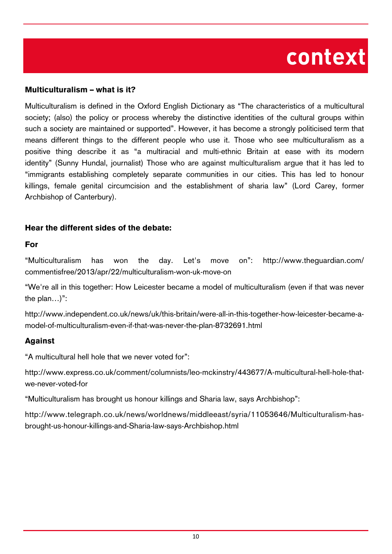## **context**

#### Multiculturalism – what is it?

Multiculturalism is defined in the Oxford English Dictionary as "The characteristics of a multicultural society; (also) the policy or process whereby the distinctive identities of the cultural groups within such a society are maintained or supported". However, it has become a strongly politicised term that means different things to the different people who use it. Those who see multiculturalism as a positive thing describe it as "a multiracial and multi-ethnic Britain at ease with its modern identity" (Sunny Hundal, journalist) Those who are against multiculturalism argue that it has led to "immigrants establishing completely separate communities in our cities. This has led to honour killings, female genital circumcision and the establishment of sharia law" (Lord Carey, former Archbishop of Canterbury).

#### Hear the different sides of the debate:

#### For

"Multiculturalism has won the day. Let's move on": http://www.theguardian.com/ commentisfree/2013/apr/22/multiculturalism-won-uk-move-on

"We're all in this together: How Leicester became a model of multiculturalism (even if that was never the plan…)":

http://www.independent.co.uk/news/uk/this-britain/were-all-in-this-together-how-leicester-became-amodel-of-multiculturalism-even-if-that-was-never-the-plan-8732691.html

#### Against

"A multicultural hell hole that we never voted for":

http://www.express.co.uk/comment/columnists/leo-mckinstry/443677/A-multicultural-hell-hole-thatwe-never-voted-for

"Multiculturalism has brought us honour killings and Sharia law, says Archbishop":

http://www.telegraph.co.uk/news/worldnews/middleeast/syria/11053646/Multiculturalism-hasbrought-us-honour-killings-and-Sharia-law-says-Archbishop.html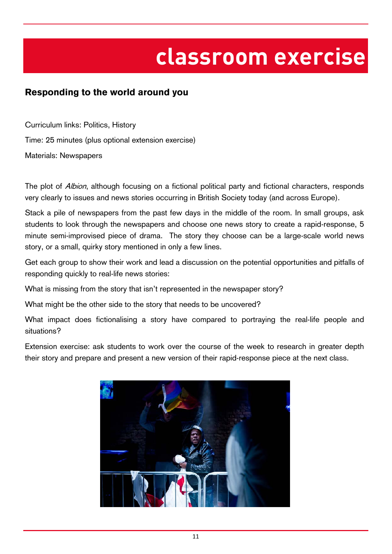## **classroom exercise**

### Responding to the world around you

Curriculum links: Politics, History Time: 25 minutes (plus optional extension exercise) Materials: Newspapers

The plot of *Albion*, although focusing on a fictional political party and fictional characters, responds very clearly to issues and news stories occurring in British Society today (and across Europe).

Stack a pile of newspapers from the past few days in the middle of the room. In small groups, ask students to look through the newspapers and choose one news story to create a rapid-response, 5 minute semi-improvised piece of drama. The story they choose can be a large-scale world news story, or a small, quirky story mentioned in only a few lines.

Get each group to show their work and lead a discussion on the potential opportunities and pitfalls of responding quickly to real-life news stories:

What is missing from the story that isn't represented in the newspaper story?

What might be the other side to the story that needs to be uncovered?

What impact does fictionalising a story have compared to portraying the real-life people and situations?

Extension exercise: ask students to work over the course of the week to research in greater depth their story and prepare and present a new version of their rapid-response piece at the next class.

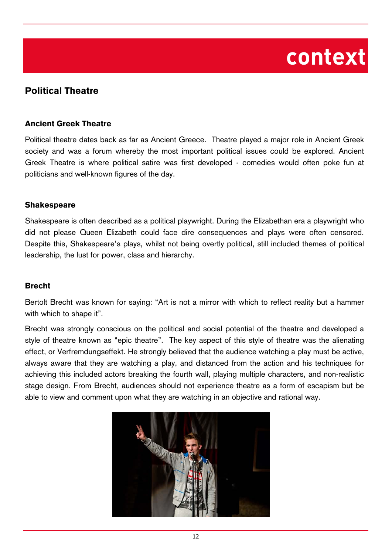## **context**

### Political Theatre

#### Ancient Greek Theatre

Political theatre dates back as far as Ancient Greece. Theatre played a major role in Ancient Greek society and was a forum whereby the most important political issues could be explored. Ancient Greek Theatre is where political satire was first developed - comedies would often poke fun at politicians and well-known figures of the day.

#### **Shakespeare**

Shakespeare is often described as a political playwright. During the Elizabethan era a playwright who did not please Queen Elizabeth could face dire consequences and plays were often censored. Despite this, Shakespeare's plays, whilst not being overtly political, still included themes of political leadership, the lust for power, class and hierarchy.

#### Brecht

Bertolt Brecht was known for saying: "Art is not a mirror with which to reflect reality but a hammer with which to shape it".

Brecht was strongly conscious on the political and social potential of the theatre and developed a style of theatre known as "epic theatre". The key aspect of this style of theatre was the alienating effect, or Verfremdungseffekt. He strongly believed that the audience watching a play must be active, always aware that they are watching a play, and distanced from the action and his techniques for achieving this included actors breaking the fourth wall, playing multiple characters, and non-realistic stage design. From Brecht, audiences should not experience theatre as a form of escapism but be able to view and comment upon what they are watching in an objective and rational way.

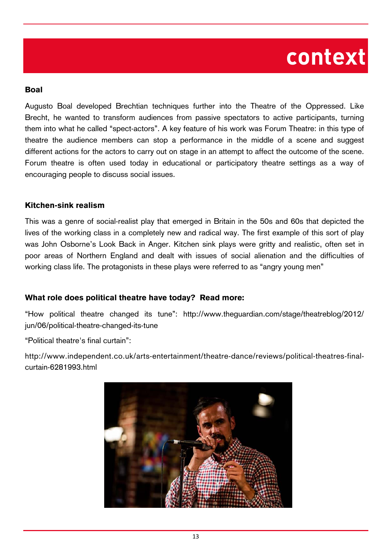## **context**

#### Boal

Augusto Boal developed Brechtian techniques further into the Theatre of the Oppressed. Like Brecht, he wanted to transform audiences from passive spectators to active participants, turning them into what he called "spect-actors". A key feature of his work was Forum Theatre: in this type of theatre the audience members can stop a performance in the middle of a scene and suggest different actions for the actors to carry out on stage in an attempt to affect the outcome of the scene. Forum theatre is often used today in educational or participatory theatre settings as a way of encouraging people to discuss social issues.

#### Kitchen-sink realism

This was a genre of social-realist play that emerged in Britain in the 50s and 60s that depicted the lives of the working class in a completely new and radical way. The first example of this sort of play was John Osborne's Look Back in Anger. Kitchen sink plays were gritty and realistic, often set in poor areas of Northern England and dealt with issues of social alienation and the difficulties of working class life. The protagonists in these plays were referred to as "angry young men"

#### What role does political theatre have today? Read more:

"How political theatre changed its tune": http://www.theguardian.com/stage/theatreblog/2012/ jun/06/political-theatre-changed-its-tune

"Political theatre's final curtain":

http://www.independent.co.uk/arts-entertainment/theatre-dance/reviews/political-theatres-finalcurtain-6281993.html

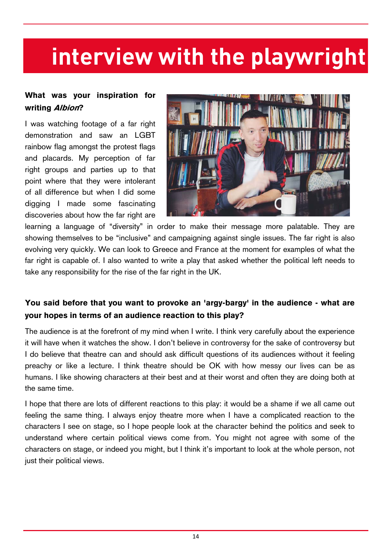### What was your inspiration for writing Albion?

I was watching footage of a far right demonstration and saw an LGBT rainbow flag amongst the protest flags and placards. My perception of far right groups and parties up to that point where that they were intolerant of all difference but when I did some digging I made some fascinating discoveries about how the far right are



learning a language of "diversity" in order to make their message more palatable. They are showing themselves to be "inclusive" and campaigning against single issues. The far right is also evolving very quickly. We can look to Greece and France at the moment for examples of what the far right is capable of. I also wanted to write a play that asked whether the political left needs to take any responsibility for the rise of the far right in the UK.

### You said before that you want to provoke an 'argy-bargy' in the audience - what are your hopes in terms of an audience reaction to this play?

The audience is at the forefront of my mind when I write. I think very carefully about the experience it will have when it watches the show. I don't believe in controversy for the sake of controversy but I do believe that theatre can and should ask difficult questions of its audiences without it feeling preachy or like a lecture. I think theatre should be OK with how messy our lives can be as humans. I like showing characters at their best and at their worst and often they are doing both at the same time.

I hope that there are lots of different reactions to this play: it would be a shame if we all came out feeling the same thing. I always enjoy theatre more when I have a complicated reaction to the characters I see on stage, so I hope people look at the character behind the politics and seek to understand where certain political views come from. You might not agree with some of the characters on stage, or indeed you might, but I think it's important to look at the whole person, not just their political views.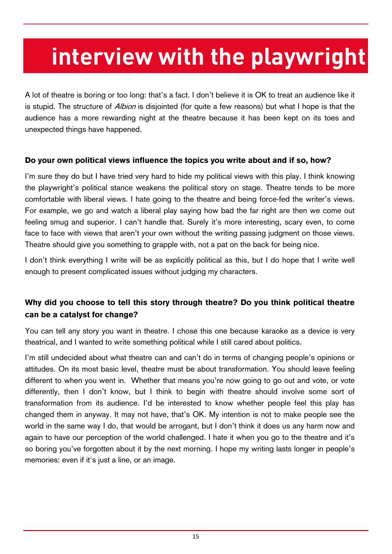A lot of theatre is boring or too long: that's a fact. I don't believe it is OK to treat an audience like it is stupid. The structure of *Albion* is disjointed (for quite a few reasons) but what I hope is that the audience has a more rewarding night at the theatre because it has been kept on its toes and unexpected things have happened.

#### Do your own political views influence the topics you write about and if so, how?

I'm sure they do but I have tried very hard to hide my political views with this play. I think knowing the playwright's political stance weakens the political story on stage. Theatre tends to be more comfortable with liberal views. I hate going to the theatre and being force-fed the writer's views. For example, we go and watch a liberal play saying how bad the far right are then we come out feeling smug and superior. I can't handle that. Surely it's more interesting, scary even, to come face to face with views that aren't your own without the writing passing judgment on those views. Theatre should give you something to grapple with, not a pat on the back for being nice.

I don't think everything I write will be as explicitly political as this, but I do hope that I write well enough to present complicated issues without judging my characters.

### Why did you choose to tell this story through theatre? Do you think political theatre can be a catalyst for change?

You can tell any story you want in theatre. I chose this one because karaoke as a device is very theatrical, and I wanted to write something political while I still cared about politics.

I'm still undecided about what theatre can and can't do in terms of changing people's opinions or attitudes. On its most basic level, theatre must be about transformation. You should leave feeling different to when you went in. Whether that means you're now going to go out and vote, or vote differently, then I don't know, but I think to begin with theatre should involve some sort of transformation from its audience. I'd be interested to know whether people feel this play has changed them in anyway. It may not have, that's OK. My intention is not to make people see the world in the same way I do, that would be arrogant, but I don't think it does us any harm now and again to have our perception of the world challenged. I hate it when you go to the theatre and it's so boring you've forgotten about it by the next morning. I hope my writing lasts longer in people's memories: even if it's just a line, or an image.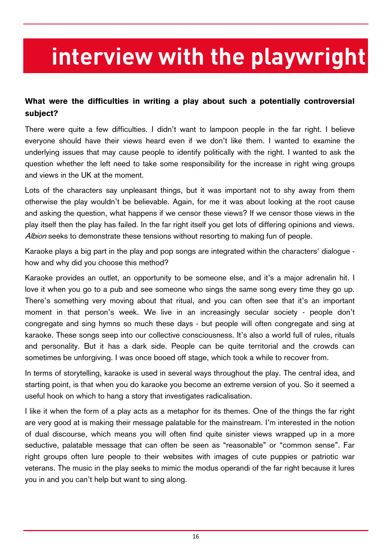### What were the difficulties in writing a play about such a potentially controversial subject?

There were quite a few difficulties. I didn't want to lampoon people in the far right. I believe everyone should have their views heard even if we don't like them. I wanted to examine the underlying issues that may cause people to identify politically with the right. I wanted to ask the question whether the left need to take some responsibility for the increase in right wing groups and views in the UK at the moment.

Lots of the characters say unpleasant things, but it was important not to shy away from them otherwise the play wouldn't be believable. Again, for me it was about looking at the root cause and asking the question, what happens if we censor these views? If we censor those views in the play itself then the play has failed. In the far right itself you get lots of differing opinions and views. Albion seeks to demonstrate these tensions without resorting to making fun of people.

Karaoke plays a big part in the play and pop songs are integrated within the characters' dialogue how and why did you choose this method?

Karaoke provides an outlet, an opportunity to be someone else, and it's a major adrenalin hit. I love it when you go to a pub and see someone who sings the same song every time they go up. There's something very moving about that ritual, and you can often see that it's an important moment in that person's week. We live in an increasingly secular society - people don't congregate and sing hymns so much these days - but people will often congregate and sing at karaoke. These songs seep into our collective consciousness. It's also a world full of rules, rituals and personality. But it has a dark side. People can be quite territorial and the crowds can sometimes be unforgiving. I was once booed off stage, which took a while to recover from.

In terms of storytelling, karaoke is used in several ways throughout the play. The central idea, and starting point, is that when you do karaoke you become an extreme version of you. So it seemed a useful hook on which to hang a story that investigates radicalisation.

I like it when the form of a play acts as a metaphor for its themes. One of the things the far right are very good at is making their message palatable for the mainstream. I'm interested in the notion of dual discourse, which means you will often find quite sinister views wrapped up in a more seductive, palatable message that can often be seen as "reasonable" or "common sense". Far right groups often lure people to their websites with images of cute puppies or patriotic war veterans. The music in the play seeks to mimic the modus operandi of the far right because it lures you in and you can't help but want to sing along.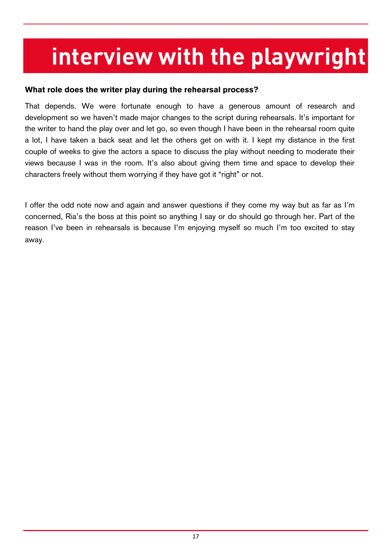#### What role does the writer play during the rehearsal process?

That depends. We were fortunate enough to have a generous amount of research and development so we haven't made major changes to the script during rehearsals. It's important for the writer to hand the play over and let go, so even though I have been in the rehearsal room quite a lot, I have taken a back seat and let the others get on with it. I kept my distance in the first couple of weeks to give the actors a space to discuss the play without needing to moderate their views because I was in the room. It's also about giving them time and space to develop their characters freely without them worrying if they have got it "right" or not.

I offer the odd note now and again and answer questions if they come my way but as far as I'm concerned, Ria's the boss at this point so anything I say or do should go through her. Part of the reason I've been in rehearsals is because I'm enjoying myself so much I'm too excited to stay away.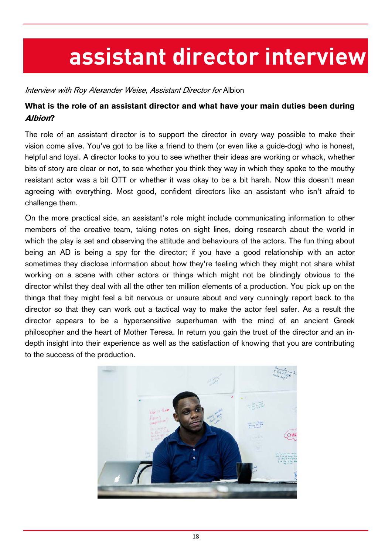# **assistant director interview**

Interview with Roy Alexander Weise, Assistant Director for Albion

### What is the role of an assistant director and what have your main duties been during Albion?

The role of an assistant director is to support the director in every way possible to make their vision come alive. You've got to be like a friend to them (or even like a guide-dog) who is honest, helpful and loyal. A director looks to you to see whether their ideas are working or whack, whether bits of story are clear or not, to see whether you think they way in which they spoke to the mouthy resistant actor was a bit OTT or whether it was okay to be a bit harsh. Now this doesn't mean agreeing with everything. Most good, confident directors like an assistant who isn't afraid to challenge them.

On the more practical side, an assistant's role might include communicating information to other members of the creative team, taking notes on sight lines, doing research about the world in which the play is set and observing the attitude and behaviours of the actors. The fun thing about being an AD is being a spy for the director; if you have a good relationship with an actor sometimes they disclose information about how they're feeling which they might not share whilst working on a scene with other actors or things which might not be blindingly obvious to the director whilst they deal with all the other ten million elements of a production. You pick up on the things that they might feel a bit nervous or unsure about and very cunningly report back to the director so that they can work out a tactical way to make the actor feel safer. As a result the director appears to be a hypersensitive superhuman with the mind of an ancient Greek philosopher and the heart of Mother Teresa. In return you gain the trust of the director and an indepth insight into their experience as well as the satisfaction of knowing that you are contributing to the success of the production.

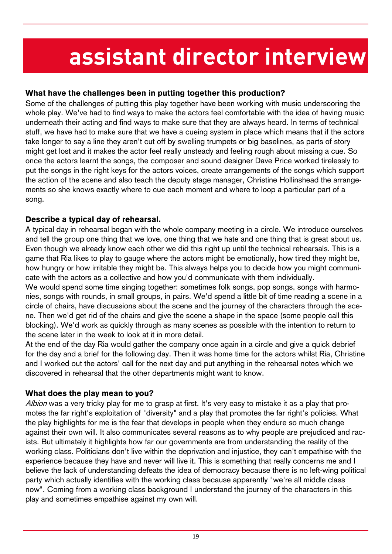# **assistant director interview**

#### What have the challenges been in putting together this production?

Some of the challenges of putting this play together have been working with music underscoring the whole play. We've had to find ways to make the actors feel comfortable with the idea of having music underneath their acting and find ways to make sure that they are always heard. In terms of technical stuff, we have had to make sure that we have a cueing system in place which means that if the actors take longer to say a line they aren't cut off by swelling trumpets or big baselines, as parts of story might get lost and it makes the actor feel really unsteady and feeling rough about missing a cue. So once the actors learnt the songs, the composer and sound designer Dave Price worked tirelessly to put the songs in the right keys for the actors voices, create arrangements of the songs which support the action of the scene and also teach the deputy stage manager, Christine Hollinshead the arrangements so she knows exactly where to cue each moment and where to loop a particular part of a song.

#### Describe a typical day of rehearsal.

A typical day in rehearsal began with the whole company meeting in a circle. We introduce ourselves and tell the group one thing that we love, one thing that we hate and one thing that is great about us. Even though we already know each other we did this right up until the technical rehearsals. This is a game that Ria likes to play to gauge where the actors might be emotionally, how tired they might be, how hungry or how irritable they might be. This always helps you to decide how you might communicate with the actors as a collective and how you'd communicate with them individually.

We would spend some time singing together: sometimes folk songs, pop songs, songs with harmonies, songs with rounds, in small groups, in pairs. We'd spend a little bit of time reading a scene in a circle of chairs, have discussions about the scene and the journey of the characters through the scene. Then we'd get rid of the chairs and give the scene a shape in the space (some people call this blocking). We'd work as quickly through as many scenes as possible with the intention to return to the scene later in the week to look at it in more detail.

At the end of the day Ria would gather the company once again in a circle and give a quick debrief for the day and a brief for the following day. Then it was home time for the actors whilst Ria, Christine and I worked out the actors' call for the next day and put anything in the rehearsal notes which we discovered in rehearsal that the other departments might want to know.

#### What does the play mean to you?

Albion was a very tricky play for me to grasp at first. It's very easy to mistake it as a play that promotes the far right's exploitation of "diversity" and a play that promotes the far right's policies. What the play highlights for me is the fear that develops in people when they endure so much change against their own will. It also communicates several reasons as to why people are prejudiced and racists. But ultimately it highlights how far our governments are from understanding the reality of the working class. Politicians don't live within the deprivation and injustice, they can't empathise with the experience because they have and never will live it. This is something that really concerns me and I believe the lack of understanding defeats the idea of democracy because there is no left-wing political party which actually identifies with the working class because apparently "we're all middle class now". Coming from a working class background I understand the journey of the characters in this play and sometimes empathise against my own will.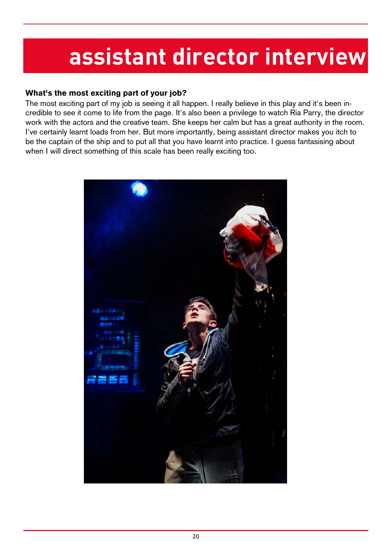# **assistant director interview**

#### What's the most exciting part of your job?

The most exciting part of my job is seeing it all happen. I really believe in this play and it's been incredible to see it come to life from the page. It's also been a privilege to watch Ria Parry, the director work with the actors and the creative team. She keeps her calm but has a great authority in the room. I've certainly learnt loads from her. But more importantly, being assistant director makes you itch to be the captain of the ship and to put all that you have learnt into practice. I guess fantasising about when I will direct something of this scale has been really exciting too.